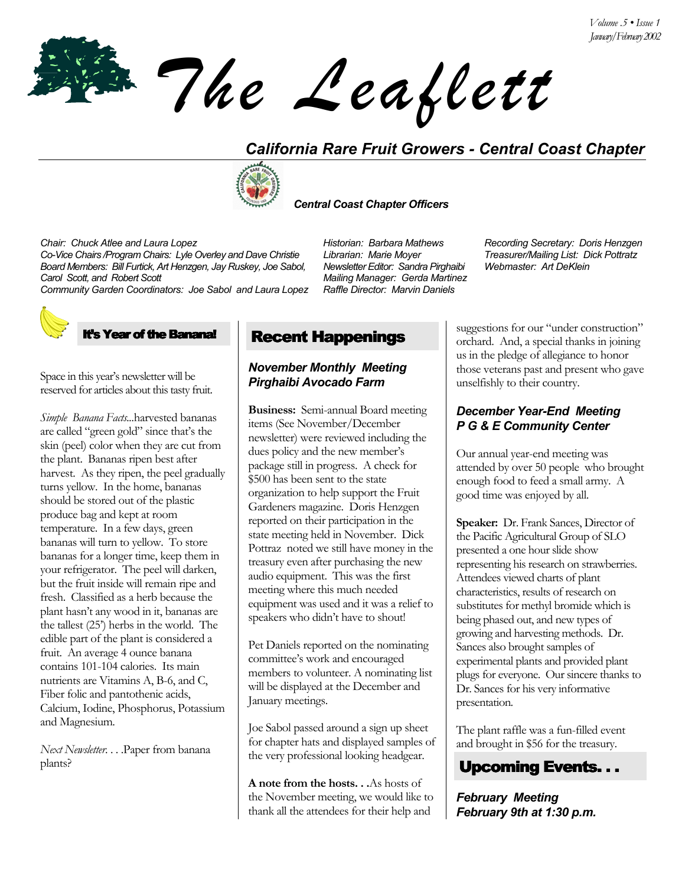*The Leaflett*

# *California Rare Fruit Growers - Central Coast Chapter*



## *Central Coast Chapter Officers*

*Co-Vice Chairs /Program Chairs: Lyle Overley and Dave Christie Librarian: Marie Moyer Board Members: Bill Furtick, Art Henzgen, Jay Ruskey, Joe Sabol, Carol Scott, and Robert Scott* 

*Community Garden Coordinators: Joe Sabol and Laura Lopez Raffle Director: Marvin Daniels* 

## s Year of the Banana!

Space in this year's newsletter will be reserved for articles about this tasty fruit.

*Simple Banana Facts...*harvested bananas are called "green gold" since that's the skin (peel) color when they are cut from the plant. Bananas ripen best after harvest. As they ripen, the peel gradually turns yellow. In the home, bananas should be stored out of the plastic produce bag and kept at room temperature. In a few days, green bananas will turn to yellow. To store bananas for a longer time, keep them in your refrigerator. The peel will darken, but the fruit inside will remain ripe and fresh. Classified as a herb because the plant hasnít any wood in it, bananas are the tallest  $(25^{\prime})$  herbs in the world. The edible part of the plant is considered a fruit. An average 4 ounce banana contains 101-104 calories. Its main nutrients are Vitamins A, B-6, and C, Fiber folic and pantothenic acids, Calcium, Iodine, Phosphorus, Potassium and Magnesium.

*Next Newsletter*. . . .Paper from banana plants?

*Newsletter Editor: Sandra Pirghaibi Mailing Manager: Gerda Martinez*

*Chair: Chuck Atlee and Laura Lopez Historian: Barbara Mathews Recording Secretary: Doris Henzgen Webmaster: Art DeKlein*

Recent Happenings

## *November Monthly Meeting Pirghaibi Avocado Farm*

**Business:** Semi-annual Board meeting items (See November/December newsletter) were reviewed including the dues policy and the new member's package still in progress. A check for \$500 has been sent to the state organization to help support the Fruit Gardeners magazine. Doris Henzgen reported on their participation in the state meeting held in November. Dick Pottraz noted we still have money in the treasury even after purchasing the new audio equipment. This was the first meeting where this much needed equipment was used and it was a relief to speakers who didn't have to shout!

Pet Daniels reported on the nominating committee's work and encouraged members to volunteer. A nominating list will be displayed at the December and January meetings.

Joe Sabol passed around a sign up sheet for chapter hats and displayed samples of the very professional looking headgear.

**A note from the hosts. . .**As hosts of the November meeting, we would like to thank all the attendees for their help and

suggestions for our "under construction" orchard. And, a special thanks in joining us in the pledge of allegiance to honor those veterans past and present who gave unselfishly to their country.

# *December Year-End Meeting P G & E Community Center*

Our annual year-end meeting was attended by over 50 people who brought enough food to feed a small army. A good time was enjoyed by all.

**Speaker:** Dr. Frank Sances, Director of the Pacific Agricultural Group of SLO presented a one hour slide show representing his research on strawberries. Attendees viewed charts of plant characteristics, results of research on substitutes for methyl bromide which is being phased out, and new types of growing and harvesting methods. Dr. Sances also brought samples of experimental plants and provided plant plugs for everyone. Our sincere thanks to Dr. Sances for his very informative presentation.

The plant raffle was a fun-filled event and brought in \$56 for the treasury.



*February Meeting February 9th at 1:30 p.m.*